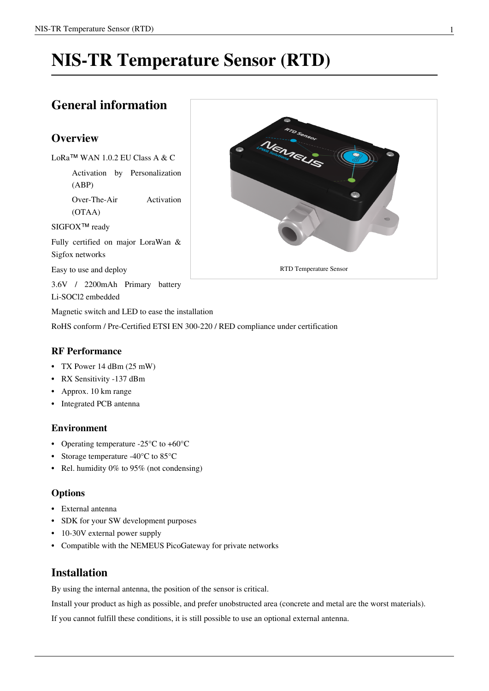# **NIS-TR Temperature Sensor (RTD)**

# **General information**

# **Overview**

LoRa™ WAN 1.0.2 EU Class A & C

Activation by Personalization (ABP)

Over-The-Air Activation (OTAA)

SIGFOX<sup>™</sup> ready

Fully certified on major LoraWan & Sigfox networks

Easy to use and deploy

3.6V / 2200mAh Primary battery

Li-SOCl2 embedded

Magnetic switch and LED to ease the installation

RoHS conform / Pre-Certified ETSI EN 300-220 / RED compliance under certification

# **RF Performance**

- TX Power 14 dBm (25 mW)
- RX Sensitivity -137 dBm
- Approx. 10 km range
- Integrated PCB antenna

## **Environment**

- Operating temperature -25°C to +60°C
- Storage temperature -40°C to 85°C
- Rel. humidity 0% to 95% (not condensing)

## **Options**

- External antenna
- SDK for your SW development purposes
- 10-30V external power supply
- Compatible with the NEMEUS PicoGateway for private networks

# **Installation**

By using the internal antenna, the position of the sensor is critical.

Install your product as high as possible, and prefer unobstructed area (concrete and metal are the worst materials).

If you cannot fulfill these conditions, it is still possible to use an optional external antenna.

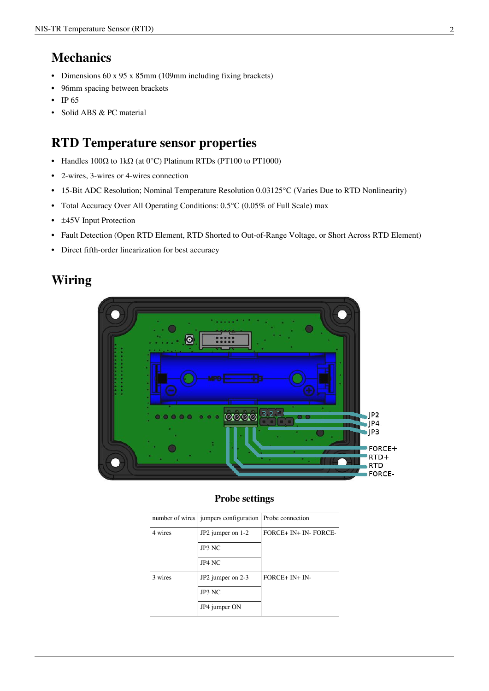# **Mechanics**

- Dimensions 60 x 95 x 85mm (109mm including fixing brackets)
- 96mm spacing between brackets
- IP 65
- Solid ABS & PC material

# **RTD Temperature sensor properties**

- Handles  $100\Omega$  to 1k $\Omega$  (at 0°C) Platinum RTDs (PT100 to PT1000)
- 2-wires, 3-wires or 4-wires connection
- 15-Bit ADC Resolution; Nominal Temperature Resolution 0.03125°C (Varies Due to RTD Nonlinearity)
- Total Accuracy Over All Operating Conditions: 0.5°C (0.05% of Full Scale) max
- ±45V Input Protection
- Fault Detection (Open RTD Element, RTD Shorted to Out-of-Range Voltage, or Short Across RTD Element)
- Direct fifth-order linearization for best accuracy

# **Wiring**



## **Probe settings**

|         | number of wires   jumpers configuration   Probe connection |                       |
|---------|------------------------------------------------------------|-----------------------|
| 4 wires | JP2 jumper on 1-2                                          | FORCE+ IN+ IN- FORCE- |
|         | JP3 NC                                                     |                       |
|         | JP4 NC                                                     |                       |
| 3 wires | JP2 jumper on 2-3                                          | $FORCE+ IN+ IN-$      |
|         | JP3 NC                                                     |                       |
|         | JP4 jumper ON                                              |                       |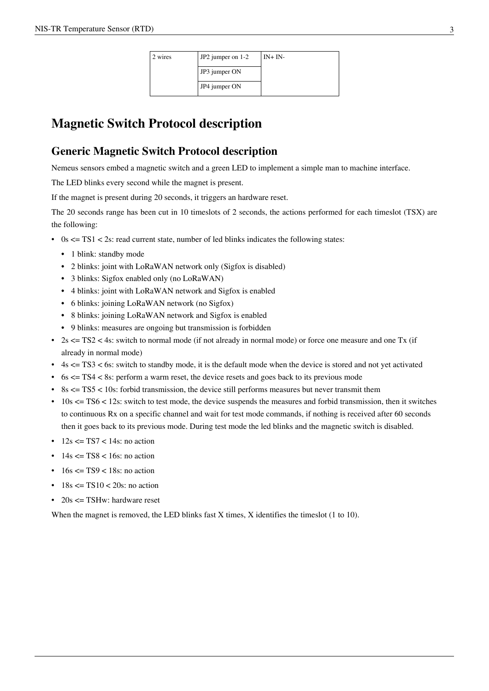| 2 wires | $JP2$ jumper on 1-2 | $IN+IN-$ |
|---------|---------------------|----------|
|         | JP3 jumper ON       |          |
|         | JP4 jumper ON       |          |

# **Magnetic Switch Protocol description**

# **Generic Magnetic Switch Protocol description**

Nemeus sensors embed a magnetic switch and a green LED to implement a simple man to machine interface.

The LED blinks every second while the magnet is present.

If the magnet is present during 20 seconds, it triggers an hardware reset.

The 20 seconds range has been cut in 10 timeslots of 2 seconds, the actions performed for each timeslot (TSX) are the following:

- 0s  $\leq$  TS1  $\leq$  2s: read current state, number of led blinks indicates the following states:
	- 1 blink: standby mode
	- 2 blinks: joint with LoRaWAN network only (Sigfox is disabled)
	- 3 blinks: Sigfox enabled only (no LoRaWAN)
	- 4 blinks: joint with LoRaWAN network and Sigfox is enabled
	- 6 blinks: joining LoRaWAN network (no Sigfox)
	- 8 blinks: joining LoRaWAN network and Sigfox is enabled
	- 9 blinks: measures are ongoing but transmission is forbidden
- 2s  $\leq$  TS2  $\leq$  4s: switch to normal mode (if not already in normal mode) or force one measure and one Tx (if already in normal mode)
- $\cdot$  4s  $\leq$  TS3  $\leq$  6s: switch to standby mode, it is the default mode when the device is stored and not yet activated
- 6s  $\leq$  TS4  $\lt$  8s: perform a warm reset, the device resets and goes back to its previous mode
- 8s  $\leq$  TS5  $\leq$  10s: forbid transmission, the device still performs measures but never transmit them
- $\cdot$  10s  $\le$  TS6  $\le$  12s: switch to test mode, the device suspends the measures and forbid transmission, then it switches to continuous Rx on a specific channel and wait for test mode commands, if nothing is received after 60 seconds then it goes back to its previous mode. During test mode the led blinks and the magnetic switch is disabled.
- $12s \leq TST < 14s$ : no action
- $\cdot$  14s  $\leq$  TS8  $\leq$  16s: no action
- $\cdot$  16s  $\leq$  TS9  $\leq$  18s; no action
- $18s \leq TST0 \leq 20s$ : no action
- 20s  $\leq$  TSHw: hardware reset

When the magnet is removed, the LED blinks fast X times, X identifies the timeslot (1 to 10).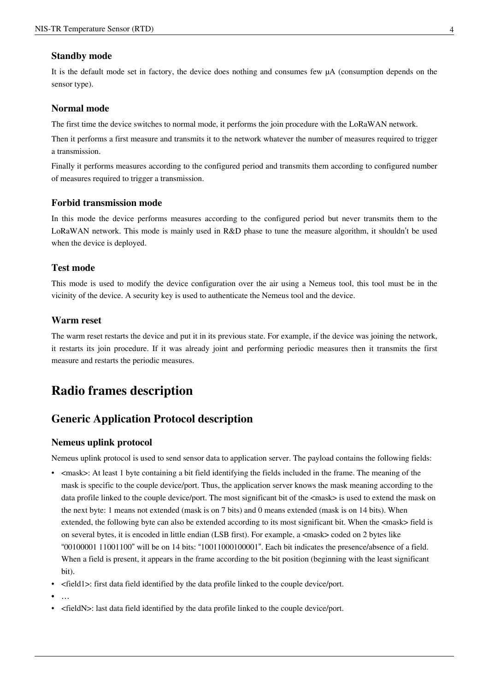### **Standby mode**

It is the default mode set in factory, the device does nothing and consumes few µA (consumption depends on the sensor type).

### **Normal mode**

The first time the device switches to normal mode, it performs the join procedure with the LoRaWAN network.

Then it performs a first measure and transmits it to the network whatever the number of measures required to trigger a transmission.

Finally it performs measures according to the configured period and transmits them according to configured number of measures required to trigger a transmission.

### **Forbid transmission mode**

In this mode the device performs measures according to the configured period but never transmits them to the LoRaWAN network. This mode is mainly used in R&D phase to tune the measure algorithm, it shouldn't be used when the device is deployed.

## **Test mode**

This mode is used to modify the device configuration over the air using a Nemeus tool, this tool must be in the vicinity of the device. A security key is used to authenticate the Nemeus tool and the device.

### **Warm reset**

The warm reset restarts the device and put it in its previous state. For example, if the device was joining the network, it restarts its join procedure. If it was already joint and performing periodic measures then it transmits the first measure and restarts the periodic measures.

# **Radio frames description**

# **Generic Application Protocol description**

#### **Nemeus uplink protocol**

Nemeus uplink protocol is used to send sensor data to application server. The payload contains the following fields:

- <mask>: At least 1 byte containing a bit field identifying the fields included in the frame. The meaning of the mask is specific to the couple device/port. Thus, the application server knows the mask meaning according to the data profile linked to the couple device/port. The most significant bit of the <mask> is used to extend the mask on the next byte: 1 means not extended (mask is on 7 bits) and 0 means extended (mask is on 14 bits). When extended, the following byte can also be extended according to its most significant bit. When the  $\langle$ mask> field is on several bytes, it is encoded in little endian (LSB first). For example, a <mask> coded on 2 bytes like "00100001 11001100" will be on 14 bits: "10011000100001". Each bit indicates the presence/absence of a field. When a field is present, it appears in the frame according to the bit position (beginning with the least significant bit).
- <field1>: first data field identified by the data profile linked to the couple device/port.
- …
- <fieldN>: last data field identified by the data profile linked to the couple device/port.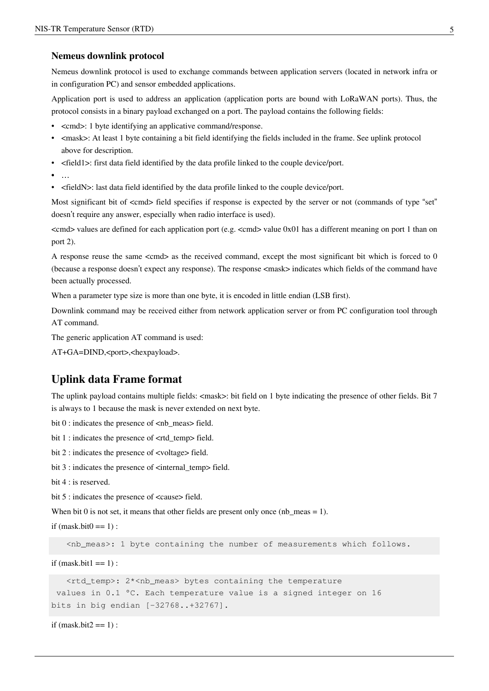### **Nemeus downlink protocol**

Nemeus downlink protocol is used to exchange commands between application servers (located in network infra or in configuration PC) and sensor embedded applications.

Application port is used to address an application (application ports are bound with LoRaWAN ports). Thus, the protocol consists in a binary payload exchanged on a port. The payload contains the following fields:

- <cmd>: 1 byte identifying an applicative command/response.
- <mask>: At least 1 byte containing a bit field identifying the fields included in the frame. See uplink protocol above for description.
- <field1>: first data field identified by the data profile linked to the couple device/port.
- …
- <fieldN>: last data field identified by the data profile linked to the couple device/port.

Most significant bit of <cmd> field specifies if response is expected by the server or not (commands of type "set" doesn't require any answer, especially when radio interface is used).

 $\ll$ cmd $>$  values are defined for each application port (e.g.  $\ll$ cmd $>$  value 0x01 has a different meaning on port 1 than on port 2).

A response reuse the same <cmd> as the received command, except the most significant bit which is forced to 0 (because a response doesn't expect any response). The response <mask> indicates which fields of the command have been actually processed.

When a parameter type size is more than one byte, it is encoded in little endian (LSB first).

Downlink command may be received either from network application server or from PC configuration tool through AT command.

The generic application AT command is used:

AT+GA=DIND,<port>,<hexpayload>.

# **Uplink data Frame format**

The uplink payload contains multiple fields:  $\langle$ mask>: bit field on 1 byte indicating the presence of other fields. Bit 7 is always to 1 because the mask is never extended on next byte.

bit 0 : indicates the presence of  $\langle$ nb\_meas> field.

bit 1 : indicates the presence of <rtd\_temp> field.

bit 2 : indicates the presence of <voltage> field.

bit 3 : indicates the presence of <internal\_temp> field.

```
bit 4 \cdot is reserved.
```
bit 5 : indicates the presence of <cause> field.

When bit 0 is not set, it means that other fields are present only once (nb\_meas = 1).

if  $(mask.bit0 == 1)$ :

<nb\_meas>: 1 byte containing the number of measurements which follows.

```
if (mask.bit1 == 1):
```

```
 <rtd_temp>: 2*<nb_meas> bytes containing the temperature
 values in 0.1 °C. Each temperature value is a signed integer on 16 
bits in big endian [-32768..+32767].
```

```
if (mask.bit2 == 1):
```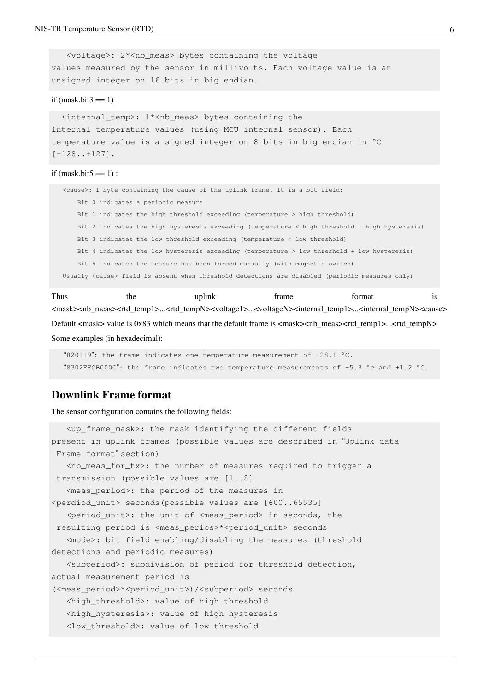<voltage>: 2\*<nb\_meas> bytes containing the voltage values measured by the sensor in millivolts. Each voltage value is an unsigned integer on 16 bits in big endian.

#### if  $(mask.bit3 == 1)$

 <internal\_temp>: 1\*<nb\_meas> bytes containing the internal temperature values (using MCU internal sensor). Each temperature value is a signed integer on 8 bits in big endian in °C [-128..+127].

#### if (mask.bit $5 == 1$ ) :

 <cause>: 1 byte containing the cause of the uplink frame. It is a bit field: Bit 0 indicates a periodic measure Bit 1 indicates the high threshold exceeding (temperature > high threshold) Bit 2 indicates the high hysteresis exceeding (temperature < high threshold - high hysteresis) Bit 3 indicates the low threshold exceeding (temperature < low threshold) Bit 4 indicates the low hysteresis exceeding (temperature > low threshold + low hysteresis) Bit 5 indicates the measure has been forced manually (with magnetic switch) Usually <cause> field is absent when threshold detections are disabled (periodic measures only)

Thus the uplink frame format is <mask><nb\_meas><rtd\_temp1>...<rtd\_tempN><voltage1>...<voltageN><internal\_temp1>...<internal\_tempN><cause> Default <mask> value is 0x83 which means that the default frame is <mask><nb\_meas><rtd\_temp1>...<rtd\_tempN> Some examples (in hexadecimal):

 "820119": the frame indicates one temperature measurement of +28.1 °C. "8302FFCB000C": the frame indicates two temperature measurements of -5.3 °c and +1.2 °C.

# **Downlink Frame format**

The sensor configuration contains the following fields:

```
 <up_frame_mask>: the mask identifying the different fields 
present in uplink frames (possible values are described in "Uplink data
 Frame format" section)
   \n  <nb_meas_for_tx>: the number of measures required to trigger a
 transmission (possible values are [1..8]
    <meas_period>: the period of the measures in 
<perdiod_unit> seconds(possible values are [600..65535]
    <period_unit>: the unit of <meas_period> in seconds, the
 resulting period is <meas_perios>*<period_unit> seconds
    <mode>: bit field enabling/disabling the measures (threshold 
detections and periodic measures)
    <subperiod>: subdivision of period for threshold detection, 
actual measurement period is 
(<meas_period>*<period_unit>)/<subperiod> seconds
    <high_threshold>: value of high threshold
   <high_hysteresis>: value of high hysteresis
    <low_threshold>: value of low threshold
```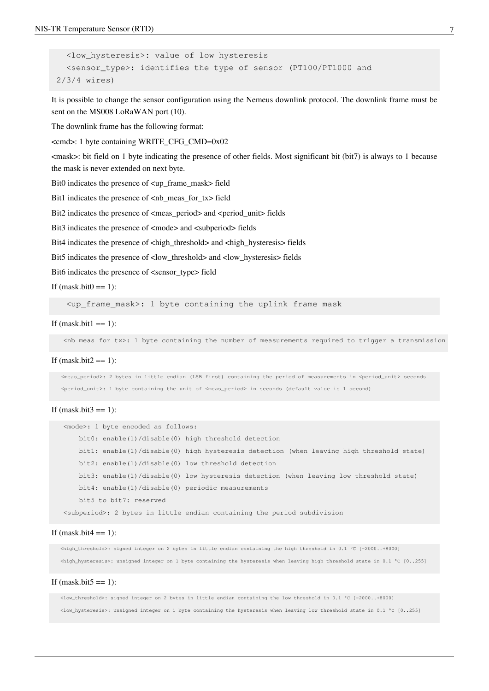```
 <low_hysteresis>: value of low hysteresis
  <sensor type>: identifies the type of sensor (PT100/PT1000 and
 2/3/4 wires)
```
It is possible to change the sensor configuration using the Nemeus downlink protocol. The downlink frame must be sent on the MS008 LoRaWAN port (10).

The downlink frame has the following format:

<cmd>: 1 byte containing WRITE\_CFG\_CMD=0x02

<mask>: bit field on 1 byte indicating the presence of other fields. Most significant bit (bit7) is always to 1 because the mask is never extended on next byte.

Bit0 indicates the presence of <up\_frame\_mask> field

Bit1 indicates the presence of  $\leq$ nb meas for tx $>$  field

Bit2 indicates the presence of  $\langle$  meas period $\rangle$  and  $\langle$  period unit $\rangle$  fields

Bit3 indicates the presence of  $\langle$ mode $\rangle$  and  $\langle$ subperiod $\rangle$  fields

Bit4 indicates the presence of  $\langle$ high threshold> and  $\langle$ high hysteresis> fields

Bit5 indicates the presence of <low threshold> and <low hysteresis> fields

Bit6 indicates the presence of <sensor\_type> field

If  $(mask.bit0 == 1)$ :

 $\langle$ up frame mask>: 1 byte containing the uplink frame mask

#### If (mask.bit $1 == 1$ ):

<nb\_meas\_for\_tx>: 1 byte containing the number of measurements required to trigger a transmission

#### If  $(mask.bit2 == 1)$ :

<meas\_period>: 2 bytes in little endian (LSB first) containing the period of measurements in <period\_unit> seconds <period\_unit>: 1 byte containing the unit of <meas\_period> in seconds (default value is 1 second)

#### If  $(mask.bit3 == 1)$ :

```
 <mode>: 1 byte encoded as follows:
     bit0: enable(1)/disable(0) high threshold detection
     bit1: enable(1)/disable(0) high hysteresis detection (when leaving high threshold state)
    bit2: enable(1)/disable(0) low threshold detection
     bit3: enable(1)/disable(0) low hysteresis detection (when leaving low threshold state)
     bit4: enable(1)/disable(0) periodic measurements
     bit5 to bit7: reserved
 <subperiod>: 2 bytes in little endian containing the period subdivision
```
#### If  $(mask.bit4 == 1)$ :

 <high\_threshold>: signed integer on 2 bytes in little endian containing the high threshold in 0.1 °C [-2000..+8000] <high\_hysteresis>: unsigned integer on 1 byte containing the hysteresis when leaving high threshold state in 0.1 °C [0..255]

#### If (mask.bit5  $== 1$ ):

 <low\_threshold>: signed integer on 2 bytes in little endian containing the low threshold in 0.1 °C [-2000..+8000] <low\_hysteresis>: unsigned integer on 1 byte containing the hysteresis when leaving low threshold state in 0.1 °C [0..255]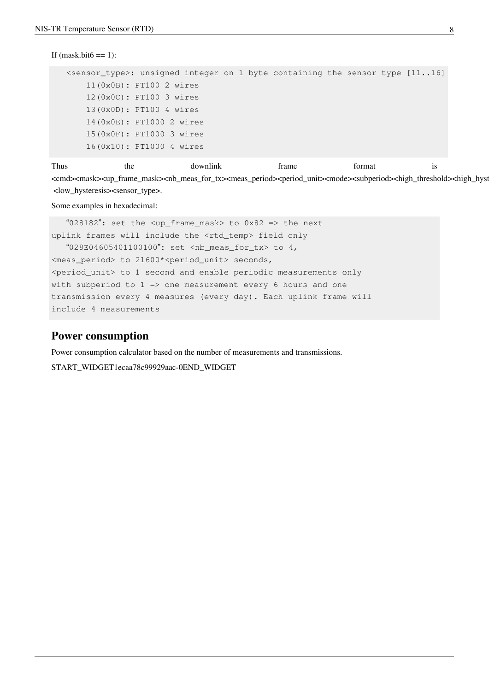```
If (mask.bit6 == 1):
```

```
sensor_type>: unsigned integer on 1 byte containing the sensor type [11..16] 11(0x0B): PT100 2 wires
     12(0x0C): PT100 3 wires
     13(0x0D): PT100 4 wires
     14(0x0E): PT1000 2 wires
     15(0x0F): PT1000 3 wires
     16(0x10): PT1000 4 wires
```
Thus the downlink frame format is <cmd><mask><up\_frame\_mask><nb\_meas\_for\_tx><meas\_period><period\_unit><mode><subperiod><high\_threshold><high\_hysteresis <low\_hysteresis><sensor\_type>.

Some examples in hexadecimal:

 "028182": set the <up\_frame\_mask> to 0x82 => the next uplink frames will include the <rtd\_temp> field only "028E04605401100100": set <nb meas for tx> to 4, <meas\_period> to 21600\*<period\_unit> seconds, <period\_unit> to 1 second and enable periodic measurements only with subperiod to  $1 \Rightarrow$  one measurement every 6 hours and one transmission every 4 measures (every day). Each uplink frame will include 4 measurements

### **Power consumption**

Power consumption calculator based on the number of measurements and transmissions.

START\_WIDGET1ecaa78c99929aac-0END\_WIDGET